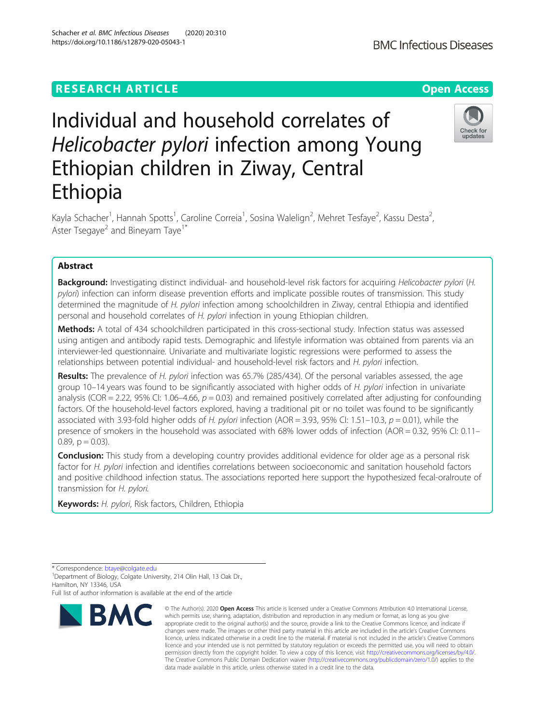# **RESEARCH ARTICLE Example 2014 12:30 The Contract of Contract ACCESS**

# Individual and household correlates of Helicobacter pylori infection among Young Ethiopian children in Ziway, Central Ethiopia

Kayla Schacher<sup>1</sup>, Hannah Spotts<sup>1</sup>, Caroline Correia<sup>1</sup>, Sosina Walelign<sup>2</sup>, Mehret Tesfaye<sup>2</sup>, Kassu Desta<sup>2</sup> , Aster Tsegaye<sup>2</sup> and Bineyam Taye<sup>1\*</sup>

# Abstract

Background: Investigating distinct individual- and household-level risk factors for acquiring Helicobacter pylori (H. pylori) infection can inform disease prevention efforts and implicate possible routes of transmission. This study determined the magnitude of H. pylori infection among schoolchildren in Ziway, central Ethiopia and identified personal and household correlates of H. pylori infection in young Ethiopian children.

Methods: A total of 434 schoolchildren participated in this cross-sectional study. Infection status was assessed using antigen and antibody rapid tests. Demographic and lifestyle information was obtained from parents via an interviewer-led questionnaire. Univariate and multivariate logistic regressions were performed to assess the relationships between potential individual- and household-level risk factors and H. pylori infection.

Results: The prevalence of H. pylori infection was 65.7% (285/434). Of the personal variables assessed, the age group 10–14 years was found to be significantly associated with higher odds of H. pylori infection in univariate analysis (COR = 2.22, 95% CI: 1.06–4.66,  $p = 0.03$ ) and remained positively correlated after adjusting for confounding factors. Of the household-level factors explored, having a traditional pit or no toilet was found to be significantly associated with 3.93-fold higher odds of H. pylori infection (AOR = 3.93, 95% CI: 1.51–10.3,  $p = 0.01$ ), while the presence of smokers in the household was associated with 68% lower odds of infection (AOR = 0.32, 95% CI: 0.11– 0.89,  $p = 0.03$ ).

**Conclusion:** This study from a developing country provides additional evidence for older age as a personal risk factor for H. pylori infection and identifies correlations between socioeconomic and sanitation household factors and positive childhood infection status. The associations reported here support the hypothesized fecal-oralroute of transmission for H. pylori.

Keywords: H. pylori, Risk factors, Children, Ethiopia



<sup>©</sup> The Author(s), 2020 **Open Access** This article is licensed under a Creative Commons Attribution 4.0 International License, which permits use, sharing, adaptation, distribution and reproduction in any medium or format, as long as you give appropriate credit to the original author(s) and the source, provide a link to the Creative Commons licence, and indicate if changes were made. The images or other third party material in this article are included in the article's Creative Commons licence, unless indicated otherwise in a credit line to the material. If material is not included in the article's Creative Commons licence and your intended use is not permitted by statutory regulation or exceeds the permitted use, you will need to obtain permission directly from the copyright holder. To view a copy of this licence, visit [http://creativecommons.org/licenses/by/4.0/.](http://creativecommons.org/licenses/by/4.0/) The Creative Commons Public Domain Dedication waiver [\(http://creativecommons.org/publicdomain/zero/1.0/](http://creativecommons.org/publicdomain/zero/1.0/)) applies to the data made available in this article, unless otherwise stated in a credit line to the data.





<sup>\*</sup> Correspondence: [btaye@colgate.edu](mailto:btaye@colgate.edu) <sup>1</sup>

<sup>&</sup>lt;sup>1</sup> Department of Biology, Colgate University, 214 Olin Hall, 13 Oak Dr., Hamilton, NY 13346, USA

Full list of author information is available at the end of the article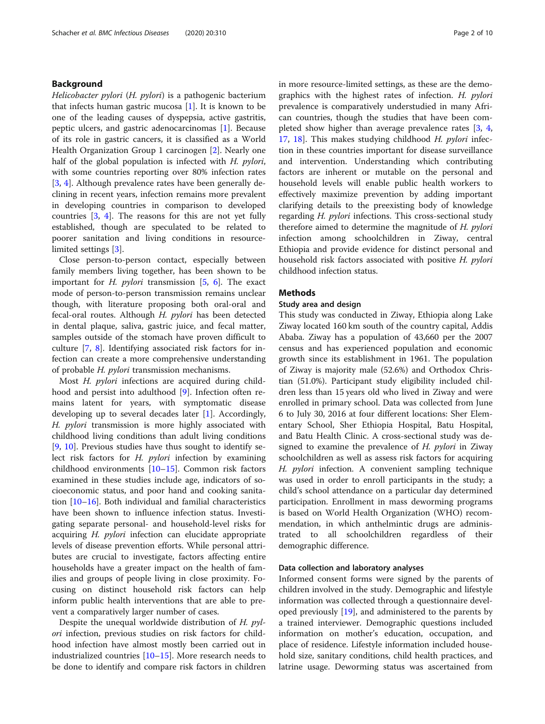# Background

Helicobacter pylori (H. pylori) is a pathogenic bacterium that infects human gastric mucosa  $[1]$  $[1]$  $[1]$ . It is known to be one of the leading causes of dyspepsia, active gastritis, peptic ulcers, and gastric adenocarcinomas [[1\]](#page-9-0). Because of its role in gastric cancers, it is classified as a World Health Organization Group 1 carcinogen [\[2](#page-9-0)]. Nearly one half of the global population is infected with H. pylori, with some countries reporting over 80% infection rates [[3,](#page-9-0) [4\]](#page-9-0). Although prevalence rates have been generally declining in recent years, infection remains more prevalent in developing countries in comparison to developed countries [\[3](#page-9-0), [4\]](#page-9-0). The reasons for this are not yet fully established, though are speculated to be related to poorer sanitation and living conditions in resourcelimited settings [\[3](#page-9-0)].

Close person-to-person contact, especially between family members living together, has been shown to be important for *H. pylori* transmission  $[5, 6]$  $[5, 6]$  $[5, 6]$  $[5, 6]$ . The exact mode of person-to-person transmission remains unclear though, with literature proposing both oral-oral and fecal-oral routes. Although H. pylori has been detected in dental plaque, saliva, gastric juice, and fecal matter, samples outside of the stomach have proven difficult to culture [[7,](#page-9-0) [8](#page-9-0)]. Identifying associated risk factors for infection can create a more comprehensive understanding of probable H. pylori transmission mechanisms.

Most H. pylori infections are acquired during childhood and persist into adulthood [\[9](#page-9-0)]. Infection often remains latent for years, with symptomatic disease developing up to several decades later [[1\]](#page-9-0). Accordingly, H. *pylori* transmission is more highly associated with childhood living conditions than adult living conditions [[9,](#page-9-0) [10](#page-9-0)]. Previous studies have thus sought to identify select risk factors for H. pylori infection by examining childhood environments [\[10](#page-9-0)–[15](#page-9-0)]. Common risk factors examined in these studies include age, indicators of socioeconomic status, and poor hand and cooking sanitation [[10](#page-9-0)–[16](#page-9-0)]. Both individual and familial characteristics have been shown to influence infection status. Investigating separate personal- and household-level risks for acquiring H. pylori infection can elucidate appropriate levels of disease prevention efforts. While personal attributes are crucial to investigate, factors affecting entire households have a greater impact on the health of families and groups of people living in close proximity. Focusing on distinct household risk factors can help inform public health interventions that are able to prevent a comparatively larger number of cases.

Despite the unequal worldwide distribution of H. pylori infection, previous studies on risk factors for childhood infection have almost mostly been carried out in industrialized countries [\[10](#page-9-0)–[15\]](#page-9-0). More research needs to be done to identify and compare risk factors in children in more resource-limited settings, as these are the demographics with the highest rates of infection. H. pylori prevalence is comparatively understudied in many African countries, though the studies that have been completed show higher than average prevalence rates [\[3](#page-9-0), [4](#page-9-0), [17,](#page-9-0) [18](#page-9-0)]. This makes studying childhood H. pylori infection in these countries important for disease surveillance and intervention. Understanding which contributing factors are inherent or mutable on the personal and household levels will enable public health workers to effectively maximize prevention by adding important clarifying details to the preexisting body of knowledge regarding *H. pylori* infections. This cross-sectional study therefore aimed to determine the magnitude of H. pylori infection among schoolchildren in Ziway, central Ethiopia and provide evidence for distinct personal and household risk factors associated with positive H. pylori childhood infection status.

# **Methods**

# Study area and design

This study was conducted in Ziway, Ethiopia along Lake Ziway located 160 km south of the country capital, Addis Ababa. Ziway has a population of 43,660 per the 2007 census and has experienced population and economic growth since its establishment in 1961. The population of Ziway is majority male (52.6%) and Orthodox Christian (51.0%). Participant study eligibility included children less than 15 years old who lived in Ziway and were enrolled in primary school. Data was collected from June 6 to July 30, 2016 at four different locations: Sher Elementary School, Sher Ethiopia Hospital, Batu Hospital, and Batu Health Clinic. A cross-sectional study was designed to examine the prevalence of  $H$ . *pylori* in Ziway schoolchildren as well as assess risk factors for acquiring H. pylori infection. A convenient sampling technique was used in order to enroll participants in the study; a child's school attendance on a particular day determined participation. Enrollment in mass deworming programs is based on World Health Organization (WHO) recommendation, in which anthelmintic drugs are administrated to all schoolchildren regardless of their demographic difference.

# Data collection and laboratory analyses

Informed consent forms were signed by the parents of children involved in the study. Demographic and lifestyle information was collected through a questionnaire developed previously [[19\]](#page-9-0), and administered to the parents by a trained interviewer. Demographic questions included information on mother's education, occupation, and place of residence. Lifestyle information included household size, sanitary conditions, child health practices, and latrine usage. Deworming status was ascertained from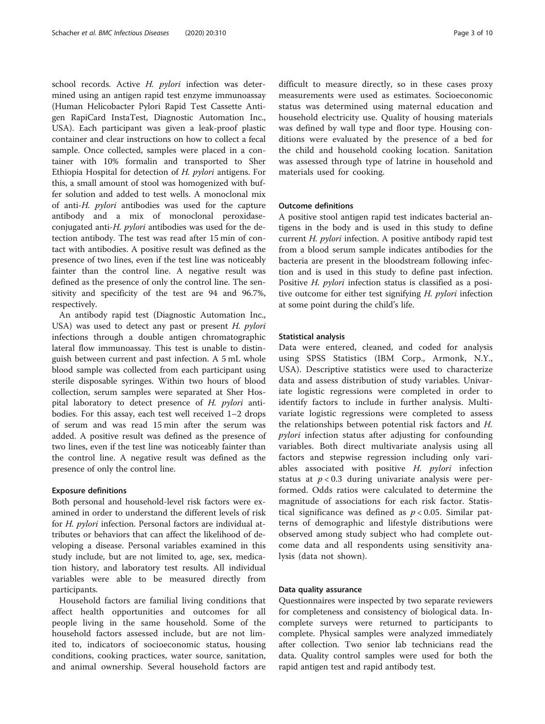school records. Active H. pylori infection was determined using an antigen rapid test enzyme immunoassay (Human Helicobacter Pylori Rapid Test Cassette Antigen RapiCard InstaTest, Diagnostic Automation Inc., USA). Each participant was given a leak-proof plastic container and clear instructions on how to collect a fecal sample. Once collected, samples were placed in a container with 10% formalin and transported to Sher Ethiopia Hospital for detection of H. pylori antigens. For this, a small amount of stool was homogenized with buffer solution and added to test wells. A monoclonal mix of anti-H. pylori antibodies was used for the capture antibody and a mix of monoclonal peroxidaseconjugated anti-H. pylori antibodies was used for the detection antibody. The test was read after 15 min of contact with antibodies. A positive result was defined as the presence of two lines, even if the test line was noticeably fainter than the control line. A negative result was defined as the presence of only the control line. The sensitivity and specificity of the test are 94 and 96.7%, respectively.

An antibody rapid test (Diagnostic Automation Inc., USA) was used to detect any past or present H. pylori infections through a double antigen chromatographic lateral flow immunoassay. This test is unable to distinguish between current and past infection. A 5 mL whole blood sample was collected from each participant using sterile disposable syringes. Within two hours of blood collection, serum samples were separated at Sher Hospital laboratory to detect presence of H. pylori antibodies. For this assay, each test well received 1–2 drops of serum and was read 15 min after the serum was added. A positive result was defined as the presence of two lines, even if the test line was noticeably fainter than the control line. A negative result was defined as the presence of only the control line.

#### Exposure definitions

Both personal and household-level risk factors were examined in order to understand the different levels of risk for H. pylori infection. Personal factors are individual attributes or behaviors that can affect the likelihood of developing a disease. Personal variables examined in this study include, but are not limited to, age, sex, medication history, and laboratory test results. All individual variables were able to be measured directly from participants.

Household factors are familial living conditions that affect health opportunities and outcomes for all people living in the same household. Some of the household factors assessed include, but are not limited to, indicators of socioeconomic status, housing conditions, cooking practices, water source, sanitation, and animal ownership. Several household factors are

difficult to measure directly, so in these cases proxy measurements were used as estimates. Socioeconomic status was determined using maternal education and household electricity use. Quality of housing materials was defined by wall type and floor type. Housing conditions were evaluated by the presence of a bed for the child and household cooking location. Sanitation was assessed through type of latrine in household and materials used for cooking.

# Outcome definitions

A positive stool antigen rapid test indicates bacterial antigens in the body and is used in this study to define current H. pylori infection. A positive antibody rapid test from a blood serum sample indicates antibodies for the bacteria are present in the bloodstream following infection and is used in this study to define past infection. Positive H. *pylori* infection status is classified as a positive outcome for either test signifying H. *pylori* infection at some point during the child's life.

#### Statistical analysis

Data were entered, cleaned, and coded for analysis using SPSS Statistics (IBM Corp., Armonk, N.Y., USA). Descriptive statistics were used to characterize data and assess distribution of study variables. Univariate logistic regressions were completed in order to identify factors to include in further analysis. Multivariate logistic regressions were completed to assess the relationships between potential risk factors and H. pylori infection status after adjusting for confounding variables. Both direct multivariate analysis using all factors and stepwise regression including only variables associated with positive  $H.$  pylori infection status at  $p < 0.3$  during univariate analysis were performed. Odds ratios were calculated to determine the magnitude of associations for each risk factor. Statistical significance was defined as  $p < 0.05$ . Similar patterns of demographic and lifestyle distributions were observed among study subject who had complete outcome data and all respondents using sensitivity analysis (data not shown).

#### Data quality assurance

Questionnaires were inspected by two separate reviewers for completeness and consistency of biological data. Incomplete surveys were returned to participants to complete. Physical samples were analyzed immediately after collection. Two senior lab technicians read the data. Quality control samples were used for both the rapid antigen test and rapid antibody test.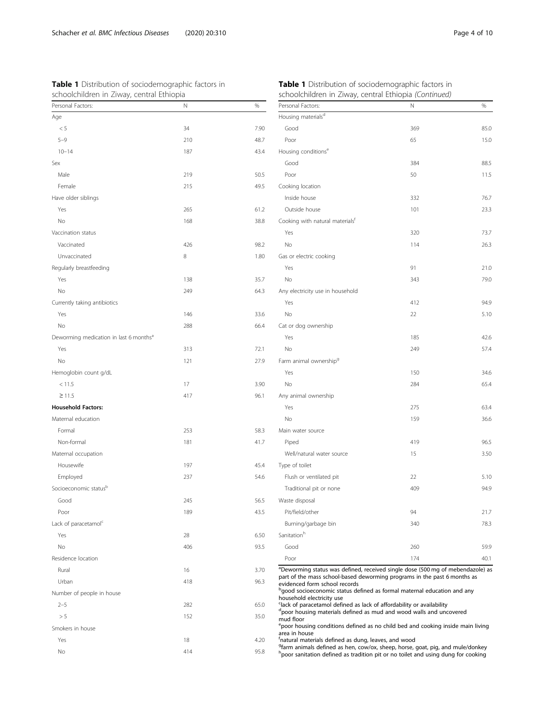<span id="page-3-0"></span>

| Table 1 Distribution of sociodemographic factors in |  |  |  |
|-----------------------------------------------------|--|--|--|
| schoolchildren in Ziway, central Ethiopia           |  |  |  |

| Personal Factors:                                  | Ν   | %    |
|----------------------------------------------------|-----|------|
| Age                                                |     |      |
| $< 5\,$                                            | 34  | 7.90 |
| $5 - 9$                                            | 210 | 48.7 |
| $10 - 14$                                          | 187 | 43.4 |
| Sex                                                |     |      |
| Male                                               | 219 | 50.5 |
| Female                                             | 215 | 49.5 |
| Have older siblings                                |     |      |
| Yes                                                | 265 | 61.2 |
| No                                                 | 168 | 38.8 |
| Vaccination status                                 |     |      |
| Vaccinated                                         | 426 | 98.2 |
| Unvaccinated                                       | 8   | 1.80 |
| Regularly breastfeeding                            |     |      |
| Yes                                                | 138 | 35.7 |
| No                                                 | 249 | 64.3 |
| Currently taking antibiotics                       |     |      |
| Yes                                                | 146 | 33.6 |
| No                                                 | 288 | 66.4 |
| Deworming medication in last 6 months <sup>a</sup> |     |      |
| Yes                                                | 313 | 72.1 |
| No                                                 | 121 | 27.9 |
| Hemoglobin count g/dL                              |     |      |
| < 11.5                                             | 17  | 3.90 |
| $\geq$ 11.5                                        | 417 | 96.1 |
| <b>Household Factors:</b>                          |     |      |
| Maternal education                                 |     |      |
| Formal                                             | 253 | 58.3 |
| Non-formal                                         | 181 | 41.7 |
| Maternal occupation                                |     |      |
| Housewife                                          | 197 | 45.4 |
| Employed                                           | 237 | 54.6 |
| Socioeconomic status <sup>b</sup>                  |     |      |
| Good                                               | 245 | 56.5 |
| Poor                                               | 189 | 43.5 |
| Lack of paracetamol <sup>c</sup>                   |     |      |
| Yes                                                | 28  | 6.50 |
| No                                                 | 406 | 93.5 |
| Residence location                                 |     |      |
| Rural                                              | 16  | 3.70 |
| Urban                                              | 418 | 96.3 |
| Number of people in house                          |     |      |
| $2 - 5$                                            | 282 | 65.0 |
| > 5                                                | 152 | 35.0 |
| Smokers in house                                   |     |      |
| Yes                                                | 18  | 4.20 |
| No                                                 | 414 | 95.8 |

| Personal Factors:                           | N   | %    |
|---------------------------------------------|-----|------|
| Housing materials <sup>d</sup>              |     |      |
| Good                                        | 369 | 85.0 |
| Poor                                        | 65  | 15.0 |
| Housing conditions <sup>e</sup>             |     |      |
| Good                                        | 384 | 88.5 |
| Poor                                        | 50  | 11.5 |
| Cooking location                            |     |      |
| Inside house                                | 332 | 76.7 |
| Outside house                               | 101 | 23.3 |
| Cooking with natural materials <sup>t</sup> |     |      |
| Yes                                         | 320 | 73.7 |
| No                                          | 114 | 26.3 |
| Gas or electric cooking                     |     |      |
| Yes                                         | 91  | 21.0 |
| No                                          | 343 | 79.0 |
| Any electricity use in household            |     |      |
| Yes                                         | 412 | 94.9 |
| No                                          | 22  | 5.10 |
| Cat or dog ownership                        |     |      |
| Yes                                         | 185 | 42.6 |
| No                                          | 249 | 57.4 |
| Farm animal ownership <sup>g</sup>          |     |      |
| Yes                                         | 150 | 34.6 |
| <b>No</b>                                   | 284 | 65.4 |
| Any animal ownership                        |     |      |
| Yes                                         | 275 | 63.4 |
| No                                          | 159 | 36.6 |
| Main water source                           |     |      |
| Piped                                       | 419 | 96.5 |
| Well/natural water source                   | 15  | 3.50 |
| Type of toilet                              |     |      |
| Flush or ventilated pit                     | 22  | 5.10 |
| Traditional pit or none                     | 409 | 94.9 |
| Waste disposal                              |     |      |
| Pit/field/other                             | 94  | 21.7 |
| Burning/garbage bin                         | 340 | 78.3 |
| Sanitation <sup>h</sup>                     |     |      |
| Good                                        | 260 | 59.9 |
| Poor                                        | 174 | 40.1 |

Deworming status was defined, received single dose (500 mg of mebendazole) as art of the mass school-based deworming programs in the past 6 months as ridenced form school records

good socioeconomic status defined as formal maternal education and any .<br>busehold electricity use

lack of paracetamol defined as lack of affordability or availability

<sup>a</sup>poor housing materials defined as mud and wood walls and uncovered<br>mud floor

poor housing conditions defined as no child bed and cooking inside main living

area in house<br><sup>f</sup>natural materials defined as dung, leaves, and wood<br><sup>g</sup>farm animals defined as hen, cow/ox, sheep, horse, goat, pig, and mule/donkey<br><sup>h</sup>poor sanitation defined as tradition pit or no toilet and using dung

# Table 1 Distribution of sociodemographic factors in schoolchildren in Ziway, central Ethiopia (Continued)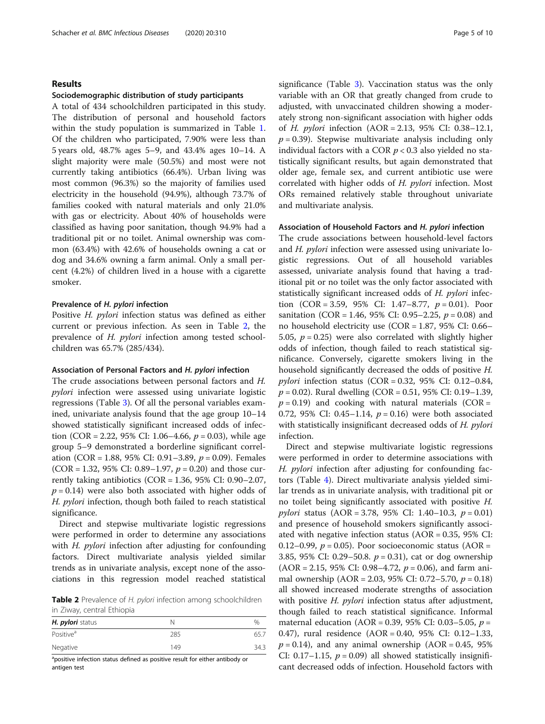# Results

### Sociodemographic distribution of study participants

A total of 434 schoolchildren participated in this study. The distribution of personal and household factors within the study population is summarized in Table [1](#page-3-0). Of the children who participated, 7.90% were less than 5 years old, 48.7% ages 5–9, and 43.4% ages 10–14. A slight majority were male (50.5%) and most were not currently taking antibiotics (66.4%). Urban living was most common (96.3%) so the majority of families used electricity in the household (94.9%), although 73.7% of families cooked with natural materials and only 21.0% with gas or electricity. About 40% of households were classified as having poor sanitation, though 94.9% had a traditional pit or no toilet. Animal ownership was common (63.4%) with 42.6% of households owning a cat or dog and 34.6% owning a farm animal. Only a small percent (4.2%) of children lived in a house with a cigarette smoker.

# Prevalence of H. pylori infection

Positive H. pylori infection status was defined as either current or previous infection. As seen in Table 2, the prevalence of H. pylori infection among tested schoolchildren was 65.7% (285/434).

## Association of Personal Factors and H. pylori infection

The crude associations between personal factors and H. pylori infection were assessed using univariate logistic regressions (Table [3](#page-5-0)). Of all the personal variables examined, univariate analysis found that the age group 10–14 showed statistically significant increased odds of infection (COR = 2.22, 95% CI: 1.06–4.66,  $p = 0.03$ ), while age group 5–9 demonstrated a borderline significant correlation (COR = 1.88, 95% CI: 0.91 – 3.89,  $p = 0.09$ ). Females (COR = 1.32, 95% CI: 0.89–1.97,  $p = 0.20$ ) and those currently taking antibiotics (COR =  $1.36$ ,  $95\%$  CI:  $0.90-2.07$ ,  $p = 0.14$ ) were also both associated with higher odds of H. pylori infection, though both failed to reach statistical significance.

Direct and stepwise multivariate logistic regressions were performed in order to determine any associations with H. pylori infection after adjusting for confounding factors. Direct multivariate analysis yielded similar trends as in univariate analysis, except none of the associations in this regression model reached statistical

Table 2 Prevalence of H. pylori infection among schoolchildren in Ziway, central Ethiopia

| H. <i>pylori</i> status | N   | %    |
|-------------------------|-----|------|
| Positive <sup>a</sup>   | 285 | 65.7 |
| Negative                | 149 | 34.3 |

<sup>a</sup>positive infection status defined as positive result for either antibody or antigen test

significance (Table [3\)](#page-5-0). Vaccination status was the only variable with an OR that greatly changed from crude to adjusted, with unvaccinated children showing a moderately strong non-significant association with higher odds of H. pylori infection (AOR = 2.13, 95% CI: 0.38–12.1,  $p = 0.39$ ). Stepwise multivariate analysis including only individual factors with a COR  $p < 0.3$  also yielded no statistically significant results, but again demonstrated that older age, female sex, and current antibiotic use were correlated with higher odds of H. pylori infection. Most ORs remained relatively stable throughout univariate and multivariate analysis.

# Association of Household Factors and H. pylori infection

The crude associations between household-level factors and H. pylori infection were assessed using univariate logistic regressions. Out of all household variables assessed, univariate analysis found that having a traditional pit or no toilet was the only factor associated with statistically significant increased odds of H. pylori infection (COR = 3.59, 95% CI: 1.47–8.77,  $p = 0.01$ ). Poor sanitation (COR = 1.46, 95% CI: 0.95–2.25,  $p = 0.08$ ) and no household electricity use (COR = 1.87, 95% CI: 0.66– 5.05,  $p = 0.25$ ) were also correlated with slightly higher odds of infection, though failed to reach statistical significance. Conversely, cigarette smokers living in the household significantly decreased the odds of positive H. *pylori* infection status  $(COR = 0.32, 95\% \text{ CI: } 0.12 - 0.84$ ,  $p = 0.02$ ). Rural dwelling (COR = 0.51, 95% CI: 0.19–1.39,  $p = 0.19$ ) and cooking with natural materials (COR = 0.72, 95% CI: 0.45–1.14,  $p = 0.16$ ) were both associated with statistically insignificant decreased odds of H. pylori infection.

Direct and stepwise multivariate logistic regressions were performed in order to determine associations with H. pylori infection after adjusting for confounding factors (Table [4](#page-6-0)). Direct multivariate analysis yielded similar trends as in univariate analysis, with traditional pit or no toilet being significantly associated with positive H. pylori status (AOR = 3.78, 95% CI: 1.40–10.3,  $p = 0.01$ ) and presence of household smokers significantly associated with negative infection status (AOR = 0.35, 95% CI: 0.12–0.99,  $p = 0.05$ ). Poor socioeconomic status (AOR = 3.85, 95% CI: 0.29–50.8.  $p = 0.31$ ), cat or dog ownership  $(AOR = 2.15, 95\% \text{ CI: } 0.98 - 4.72, p = 0.06)$ , and farm animal ownership (AOR = 2.03, 95% CI: 0.72–5.70,  $p = 0.18$ ) all showed increased moderate strengths of association with positive *H. pylori* infection status after adjustment, though failed to reach statistical significance. Informal maternal education (AOR = 0.39, 95% CI: 0.03-5.05,  $p =$ 0.47), rural residence (AOR = 0.40, 95% CI: 0.12–1.33,  $p = 0.14$ ), and any animal ownership (AOR = 0.45, 95% CI: 0.17–1.15,  $p = 0.09$ ) all showed statistically insignificant decreased odds of infection. Household factors with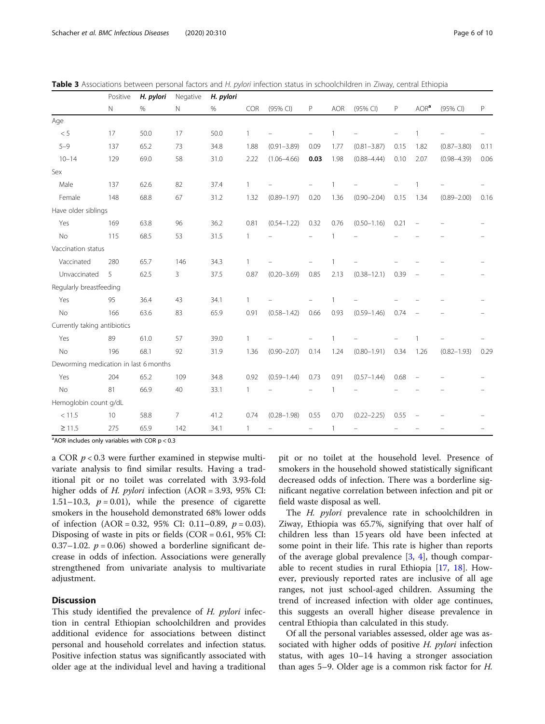<span id="page-5-0"></span>

|  |  |  | Table 3 Associations between personal factors and H. pylori infection status in schoolchildren in Ziway, central Ethiopia |  |  |  |
|--|--|--|---------------------------------------------------------------------------------------------------------------------------|--|--|--|
|  |  |  |                                                                                                                           |  |  |  |

|                                       | Positive | H. pylori | Negative       | H. pylori |              |                 |          |                |                 |      |                          |                 |      |
|---------------------------------------|----------|-----------|----------------|-----------|--------------|-----------------|----------|----------------|-----------------|------|--------------------------|-----------------|------|
|                                       | N        | %         | Ν              | $\%$      | COR          | (95% CI)        | P        | <b>AOR</b>     | (95% CI)        | P    | AOR <sup>a</sup>         | (95% CI)        | P    |
| Age                                   |          |           |                |           |              |                 |          |                |                 |      |                          |                 |      |
| $< 5\,$                               | 17       | 50.0      | 17             | 50.0      | $\mathbf{1}$ |                 |          | $\mathbf{1}$   |                 |      | $\overline{1}$           |                 |      |
| $5 - 9$                               | 137      | 65.2      | 73             | 34.8      | 1.88         | $(0.91 - 3.89)$ | 0.09     | 1.77           | $(0.81 - 3.87)$ | 0.15 | 1.82                     | $(0.87 - 3.80)$ | 0.11 |
| $10 - 14$                             | 129      | 69.0      | 58             | 31.0      | 2.22         | $(1.06 - 4.66)$ | 0.03     | 1.98           | $(0.88 - 4.44)$ | 0.10 | 2.07                     | $(0.98 - 4.39)$ | 0.06 |
| Sex                                   |          |           |                |           |              |                 |          |                |                 |      |                          |                 |      |
| Male                                  | 137      | 62.6      | 82             | 37.4      | $\mathbf{1}$ |                 |          | $\overline{1}$ |                 |      | $\overline{1}$           |                 |      |
| Female                                | 148      | 68.8      | 67             | 31.2      | 1.32         | $(0.89 - 1.97)$ | 0.20     | 1.36           | $(0.90 - 2.04)$ | 0.15 | 1.34                     | $(0.89 - 2.00)$ | 0.16 |
| Have older siblings                   |          |           |                |           |              |                 |          |                |                 |      |                          |                 |      |
| Yes                                   | 169      | 63.8      | 96             | 36.2      | 0.81         | $(0.54 - 1.22)$ | 0.32     | 0.76           | $(0.50 - 1.16)$ | 0.21 | $\overline{\phantom{a}}$ |                 |      |
| <b>No</b>                             | 115      | 68.5      | 53             | 31.5      | 1            |                 |          | $\mathbf{1}$   |                 |      |                          |                 |      |
| Vaccination status                    |          |           |                |           |              |                 |          |                |                 |      |                          |                 |      |
| Vaccinated                            | 280      | 65.7      | 146            | 34.3      | 1            |                 |          |                |                 |      |                          |                 |      |
| Unvaccinated                          | 5        | 62.5      | 3              | 37.5      | 0.87         | $(0.20 - 3.69)$ | 0.85     | 2.13           | $(0.38 - 12.1)$ | 0.39 |                          |                 |      |
| Regularly breastfeeding               |          |           |                |           |              |                 |          |                |                 |      |                          |                 |      |
| Yes                                   | 95       | 36.4      | 43             | 34.1      | $\mathbf{1}$ |                 |          | $\overline{1}$ |                 |      |                          |                 |      |
| <b>No</b>                             | 166      | 63.6      | 83             | 65.9      | 0.91         | $(0.58 - 1.42)$ | 0.66     | 0.93           | $(0.59 - 1.46)$ | 0.74 | $\equiv$                 |                 |      |
| Currently taking antibiotics          |          |           |                |           |              |                 |          |                |                 |      |                          |                 |      |
| Yes                                   | 89       | 61.0      | 57             | 39.0      | $\mathbf{1}$ |                 |          |                |                 |      |                          |                 |      |
| <b>No</b>                             | 196      | 68.1      | 92             | 31.9      | 1.36         | $(0.90 - 2.07)$ | 0.14     | 1.24           | $(0.80 - 1.91)$ | 0.34 | 1.26                     | $(0.82 - 1.93)$ | 0.29 |
| Deworming medication in last 6 months |          |           |                |           |              |                 |          |                |                 |      |                          |                 |      |
| Yes                                   | 204      | 65.2      | 109            | 34.8      | 0.92         | $(0.59 - 1.44)$ | 0.73     | 0.91           | $(0.57 - 1.44)$ | 0.68 |                          |                 |      |
| No                                    | 81       | 66.9      | 40             | 33.1      | $\mathbf{1}$ |                 |          | $\mathbf{1}$   |                 |      |                          |                 |      |
| Hemoglobin count g/dL                 |          |           |                |           |              |                 |          |                |                 |      |                          |                 |      |
| < 11.5                                | 10       | 58.8      | $\overline{7}$ | 41.2      | 0.74         | $(0.28 - 1.98)$ | 0.55     | 0.70           | $(0.22 - 2.25)$ | 0.55 |                          |                 |      |
| $\geq$ 11.5                           | 275      | 65.9      | 142            | 34.1      | $\mathbf{1}$ |                 | $\equiv$ | 1              |                 |      |                          |                 |      |

 $^{\circ}$ AOR includes only variables with COR  $p < 0.3$ 

a COR  $p < 0.3$  were further examined in stepwise multivariate analysis to find similar results. Having a traditional pit or no toilet was correlated with 3.93-fold higher odds of *H. pylori* infection (AOR = 3.93, 95% CI: 1.51–10.3,  $p = 0.01$ ), while the presence of cigarette smokers in the household demonstrated 68% lower odds of infection  $(AOR = 0.32, 95\% \text{ CI: } 0.11-0.89, p = 0.03)$ . Disposing of waste in pits or fields  $(COR = 0.61, 95\% \text{ CI:}$ 0.37–1.02.  $p = 0.06$ ) showed a borderline significant decrease in odds of infection. Associations were generally strengthened from univariate analysis to multivariate adjustment.

# **Discussion**

This study identified the prevalence of H. *pylori* infection in central Ethiopian schoolchildren and provides additional evidence for associations between distinct personal and household correlates and infection status. Positive infection status was significantly associated with older age at the individual level and having a traditional

pit or no toilet at the household level. Presence of smokers in the household showed statistically significant decreased odds of infection. There was a borderline significant negative correlation between infection and pit or field waste disposal as well.

The *H. pylori* prevalence rate in schoolchildren in Ziway, Ethiopia was 65.7%, signifying that over half of children less than 15 years old have been infected at some point in their life. This rate is higher than reports of the average global prevalence  $[3, 4]$  $[3, 4]$  $[3, 4]$  $[3, 4]$ , though comparable to recent studies in rural Ethiopia [\[17](#page-9-0), [18\]](#page-9-0). However, previously reported rates are inclusive of all age ranges, not just school-aged children. Assuming the trend of increased infection with older age continues, this suggests an overall higher disease prevalence in central Ethiopia than calculated in this study.

Of all the personal variables assessed, older age was associated with higher odds of positive H. pylori infection status, with ages 10–14 having a stronger association than ages 5–9. Older age is a common risk factor for H.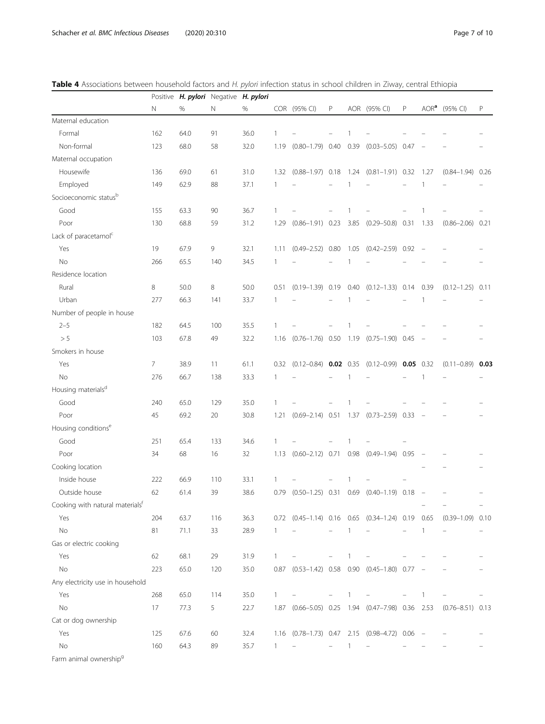<span id="page-6-0"></span>

|  | Table 4 Associations between household factors and H. pylori infection status in school children in Ziway, central Ethiopia |  |  |
|--|-----------------------------------------------------------------------------------------------------------------------------|--|--|
|  |                                                                                                                             |  |  |

|                                                |     |      | Positive H. pylori Negative H. pylori |      |              |                                                  |                          |                |                                                 |      |                  |                      |      |
|------------------------------------------------|-----|------|---------------------------------------|------|--------------|--------------------------------------------------|--------------------------|----------------|-------------------------------------------------|------|------------------|----------------------|------|
|                                                | N   | %    | N                                     | $\%$ |              | COR (95% CI)                                     | P                        |                | AOR (95% CI)                                    | P    | AOR <sup>a</sup> | (95% CI)             | P    |
| Maternal education                             |     |      |                                       |      |              |                                                  |                          |                |                                                 |      |                  |                      |      |
| Formal                                         | 162 | 64.0 | 91                                    | 36.0 | 1            |                                                  |                          |                |                                                 |      |                  |                      |      |
| Non-formal                                     | 123 | 68.0 | 58                                    | 32.0 | 1.19         | $(0.80 - 1.79)$ 0.40                             |                          | 0.39           | $(0.03 - 5.05)$                                 | 0.47 |                  |                      |      |
| Maternal occupation                            |     |      |                                       |      |              |                                                  |                          |                |                                                 |      |                  |                      |      |
| Housewife                                      | 136 | 69.0 | 61                                    | 31.0 | 1.32         |                                                  |                          |                | $(0.88-1.97)$ 0.18 1.24 $(0.81-1.91)$ 0.32 1.27 |      |                  | $(0.84 - 1.94)$      | 0.26 |
| Employed                                       | 149 | 62.9 | 88                                    | 37.1 | 1            |                                                  |                          | -1             |                                                 |      | $\mathbf{1}$     |                      |      |
| Socioeconomic statusb                          |     |      |                                       |      |              |                                                  |                          |                |                                                 |      |                  |                      |      |
| Good                                           | 155 | 63.3 | 90                                    | 36.7 | 1            |                                                  |                          |                |                                                 |      |                  |                      |      |
| Poor                                           | 130 | 68.8 | 59                                    | 31.2 | 1.29         | $(0.86 - 1.91)$ 0.23                             |                          |                | 3.85 (0.29-50.8) 0.31                           |      | 1.33             | $(0.86 - 2.06)$ 0.21 |      |
| Lack of paracetamol <sup>c</sup>               |     |      |                                       |      |              |                                                  |                          |                |                                                 |      |                  |                      |      |
| Yes                                            | 19  | 67.9 | 9                                     | 32.1 | 1.11         | $(0.49 - 2.52)$ 0.80                             |                          |                | $1.05$ $(0.42-2.59)$ $0.92$ -                   |      |                  |                      |      |
| <b>No</b>                                      | 266 | 65.5 | 140                                   | 34.5 | 1            |                                                  |                          | -1             |                                                 |      |                  |                      |      |
| Residence location                             |     |      |                                       |      |              |                                                  |                          |                |                                                 |      |                  |                      |      |
| Rural                                          | 8   | 50.0 | 8                                     | 50.0 | 0.51         |                                                  |                          |                | $(0.19-1.39)$ 0.19 0.40 $(0.12-1.33)$ 0.14 0.39 |      |                  | $(0.12 - 1.25)$      | 0.11 |
| Urban                                          | 277 | 66.3 | 141                                   | 33.7 | 1            |                                                  |                          |                |                                                 |      |                  |                      |      |
| Number of people in house                      |     |      |                                       |      |              |                                                  |                          |                |                                                 |      |                  |                      |      |
| $2 - 5$                                        | 182 | 64.5 | 100                                   | 35.5 | 1            |                                                  |                          |                |                                                 |      |                  |                      |      |
| > 5                                            | 103 | 67.8 | 49                                    | 32.2 |              | 1.16 (0.76-1.76) 0.50 1.19 (0.75-1.90) 0.45      |                          |                |                                                 |      |                  |                      |      |
| Smokers in house                               |     |      |                                       |      |              |                                                  |                          |                |                                                 |      |                  |                      |      |
| Yes                                            | 7   | 38.9 | 11                                    | 61.1 | 0.32         | $(0.12 - 0.84)$ 0.02 0.35                        |                          |                | $(0.12 - 0.99)$ 0.05 0.32                       |      |                  | $(0.11 - 0.89)$ 0.03 |      |
| <b>No</b>                                      | 276 | 66.7 | 138                                   | 33.3 | 1            |                                                  |                          |                |                                                 |      |                  |                      |      |
| Housing materials <sup>d</sup>                 |     |      |                                       |      |              |                                                  |                          |                |                                                 |      |                  |                      |      |
| Good                                           | 240 | 65.0 | 129                                   | 35.0 | 1            |                                                  |                          |                |                                                 |      |                  |                      |      |
| Poor                                           | 45  | 69.2 | 20                                    | 30.8 | 1.21         | $(0.69 - 2.14)$ 0.51                             |                          |                | 1.37 (0.73-2.59) 0.33                           |      |                  |                      |      |
| Housing conditions <sup>e</sup>                |     |      |                                       |      |              |                                                  |                          |                |                                                 |      |                  |                      |      |
| Good                                           | 251 | 65.4 | 133                                   | 34.6 | 1            |                                                  |                          |                |                                                 |      |                  |                      |      |
| Poor                                           | 34  | 68   | 16                                    | 32   | 1.13         | $(0.60 - 2.12)$ 0.71                             |                          | 0.98           | $(0.49 - 1.94)$ 0.95                            |      |                  |                      |      |
| Cooking location                               |     |      |                                       |      |              |                                                  |                          |                |                                                 |      |                  |                      |      |
| Inside house                                   | 222 | 66.9 | 110                                   | 33.1 | 1            |                                                  |                          |                |                                                 |      |                  |                      |      |
| Outside house                                  | 62  | 61.4 | 39                                    | 38.6 | 0.79         | $(0.50 - 1.25)$ 0.31                             |                          |                | $0.69$ $(0.40-1.19)$ 0.18                       |      |                  |                      |      |
| $\mathsf{f}$<br>Cooking with natural materials |     |      |                                       |      |              |                                                  |                          |                |                                                 |      |                  |                      |      |
| Yes                                            | 204 | 63.7 | 116                                   | 36.3 |              | 0.72 (0.45-1.14) 0.16 0.65 (0.34-1.24) 0.19 0.65 |                          |                |                                                 |      |                  | $(0.39 - 1.09)$ 0.10 |      |
| $\rm No$                                       | 81  | 71.1 | 33                                    | 28.9 | $\mathbf{1}$ |                                                  |                          | -1             |                                                 |      | 1                |                      |      |
| Gas or electric cooking                        |     |      |                                       |      |              |                                                  |                          |                |                                                 |      |                  |                      |      |
| Yes                                            | 62  | 68.1 | 29                                    | 31.9 | $\mathbf{1}$ |                                                  | $\overline{\phantom{0}}$ | 1              |                                                 |      |                  |                      |      |
| No                                             | 223 | 65.0 | 120                                   | 35.0 |              | 0.87 (0.53-1.42) 0.58 0.90 (0.45-1.80) 0.77      |                          |                |                                                 |      |                  |                      |      |
| Any electricity use in household               |     |      |                                       |      |              |                                                  |                          |                |                                                 |      |                  |                      |      |
| Yes                                            | 268 | 65.0 | 114                                   | 35.0 | $\mathbf{1}$ |                                                  | $\overline{\phantom{0}}$ | $\overline{1}$ | $\qquad \qquad -$                               |      | 1                |                      |      |
| $\rm No$                                       | 17  | 77.3 | 5                                     | 22.7 |              | 1.87 (0.66-5.05) 0.25 1.94 (0.47-7.98) 0.36 2.53 |                          |                |                                                 |      |                  | $(0.76 - 8.51)$ 0.13 |      |
| Cat or dog ownership                           |     |      |                                       |      |              |                                                  |                          |                |                                                 |      |                  |                      |      |
| Yes                                            | 125 | 67.6 | 60                                    | 32.4 |              | 1.16 (0.78-1.73) 0.47 2.15 (0.98-4.72) 0.06 -    |                          |                |                                                 |      |                  |                      |      |
| $\rm No$                                       | 160 | 64.3 | 89                                    | 35.7 | $\mathbf{1}$ |                                                  |                          | -1             |                                                 |      |                  |                      |      |
| Farm animal ownership <sup>9</sup>             |     |      |                                       |      |              |                                                  |                          |                |                                                 |      |                  |                      |      |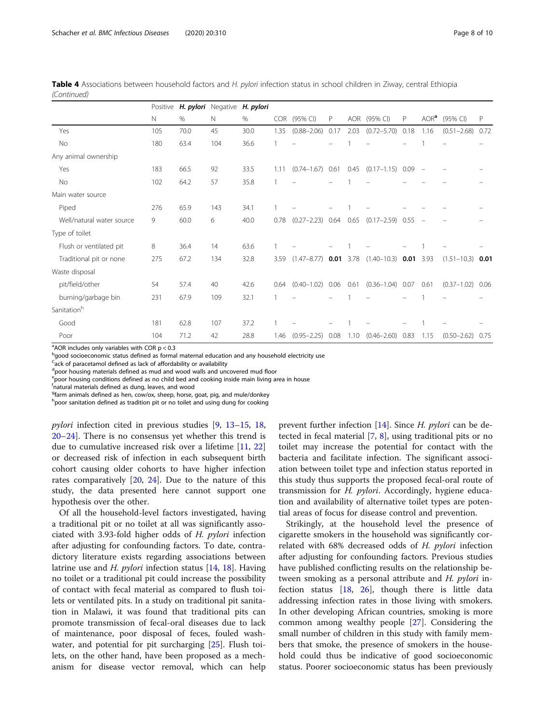| Table 4 Associations between household factors and H. pylori infection status in school children in Ziway, central Ethiopia |  |  |  |
|-----------------------------------------------------------------------------------------------------------------------------|--|--|--|
| (Continued)                                                                                                                 |  |  |  |

|                           | Positive | H. pylori Negative |     | H. pylori |            |                 |      |            |                 |      |                   |                 |      |
|---------------------------|----------|--------------------|-----|-----------|------------|-----------------|------|------------|-----------------|------|-------------------|-----------------|------|
|                           | N        | %                  | N   | $\%$      | <b>COR</b> | (95% CI)        | P    | <b>AOR</b> | (95% CI)        | P    | AOR <sup>a</sup>  | (95% CI)        | P    |
| Yes                       | 105      | 70.0               | 45  | 30.0      | 1.35       | $(0.88 - 2.06)$ | 0.17 | 2.03       | $(0.72 - 5.70)$ | 0.18 | 1.16              | $(0.51 - 2.68)$ | 0.72 |
| No                        | 180      | 63.4               | 104 | 36.6      |            |                 |      |            |                 |      |                   |                 |      |
| Any animal ownership      |          |                    |     |           |            |                 |      |            |                 |      |                   |                 |      |
| Yes                       | 183      | 66.5               | 92  | 33.5      | 1.11       | $(0.74 - 1.67)$ | 0.61 | 0.45       | $(0.17 - 1.15)$ | 0.09 | $\qquad \qquad -$ |                 |      |
| No                        | 102      | 64.2               | 57  | 35.8      | 1          |                 |      |            |                 |      |                   |                 |      |
| Main water source         |          |                    |     |           |            |                 |      |            |                 |      |                   |                 |      |
| Piped                     | 276      | 65.9               | 143 | 34.1      |            |                 |      |            |                 |      |                   |                 |      |
| Well/natural water source | 9        | 60.0               | 6   | 40.0      | 0.78       | $(0.27 - 2.23)$ | 0.64 | 0.65       | $(0.17 - 2.59)$ | 0.55 |                   |                 |      |
| Type of toilet            |          |                    |     |           |            |                 |      |            |                 |      |                   |                 |      |
| Flush or ventilated pit   | 8        | 36.4               | 14  | 63.6      |            |                 |      |            |                 |      |                   |                 |      |
| Traditional pit or none   | 275      | 67.2               | 134 | 32.8      | 3.59       | $(1.47 - 8.77)$ | 0.01 | 3.78       | $(1.40 - 10.3)$ | 0.01 | 3.93              | $(1.51 - 10.3)$ | 0.01 |
| Waste disposal            |          |                    |     |           |            |                 |      |            |                 |      |                   |                 |      |
| pit/field/other           | 54       | 57.4               | 40  | 42.6      | 0.64       | $(0.40 - 1.02)$ | 0.06 | 0.61       | $(0.36 - 1.04)$ | 0.07 | 0.61              | $(0.37 - 1.02)$ | 0.06 |
| burning/garbage bin       | 231      | 67.9               | 109 | 32.1      |            |                 |      |            |                 |      |                   |                 |      |
| Sanitationh               |          |                    |     |           |            |                 |      |            |                 |      |                   |                 |      |
| Good                      | 181      | 62.8               | 107 | 37.2      |            |                 |      |            |                 |      |                   |                 |      |
| Poor                      | 104      | 71.2               | 42  | 28.8      | 1.46       | $(0.95 - 2.25)$ | 0.08 | 1.10       | $(0.46 - 2.60)$ | 0.83 | 1.15              | $(0.50 - 2.62)$ | 0.75 |

 $^{\text{a}}$ AOR includes only variables with COR  $p < 0.3$ 

<sup>b</sup>good socioeconomic status defined as formal maternal education and any household electricity use

<sup>C</sup>ack of paracetamol defined as lack of affordability or availability

d<sub>poor housing materials defined as mud and wood walls and uncovered mud floor</sub>

epoor housing conditions defined as no child bed and cooking inside main living area in house

f natural materials defined as dung, leaves, and wood

<sup>g</sup>farm animals defined as hen, cow/ox, sheep, horse, goat, pig, and mule/donkey

h poor sanitation defined as tradition pit or no toilet and using dung for cooking

pylori infection cited in previous studies [\[9](#page-9-0), [13](#page-9-0)–[15](#page-9-0), [18](#page-9-0), [20](#page-9-0)–[24](#page-9-0)]. There is no consensus yet whether this trend is due to cumulative increased risk over a lifetime [\[11,](#page-9-0) [22](#page-9-0)] or decreased risk of infection in each subsequent birth cohort causing older cohorts to have higher infection rates comparatively [\[20,](#page-9-0) [24](#page-9-0)]. Due to the nature of this study, the data presented here cannot support one hypothesis over the other.

Of all the household-level factors investigated, having a traditional pit or no toilet at all was significantly associated with 3.93-fold higher odds of H. pylori infection after adjusting for confounding factors. To date, contradictory literature exists regarding associations between latrine use and H. pylori infection status [\[14,](#page-9-0) [18](#page-9-0)]. Having no toilet or a traditional pit could increase the possibility of contact with fecal material as compared to flush toilets or ventilated pits. In a study on traditional pit sanitation in Malawi, it was found that traditional pits can promote transmission of fecal-oral diseases due to lack of maintenance, poor disposal of feces, fouled washwater, and potential for pit surcharging [[25](#page-9-0)]. Flush toilets, on the other hand, have been proposed as a mechanism for disease vector removal, which can help

prevent further infection [[14\]](#page-9-0). Since *H. pylori* can be detected in fecal material [[7,](#page-9-0) [8\]](#page-9-0), using traditional pits or no toilet may increase the potential for contact with the bacteria and facilitate infection. The significant association between toilet type and infection status reported in this study thus supports the proposed fecal-oral route of transmission for H. pylori. Accordingly, hygiene education and availability of alternative toilet types are potential areas of focus for disease control and prevention.

Strikingly, at the household level the presence of cigarette smokers in the household was significantly correlated with 68% decreased odds of H. pylori infection after adjusting for confounding factors. Previous studies have published conflicting results on the relationship between smoking as a personal attribute and H. pylori infection status  $[18, 26]$  $[18, 26]$  $[18, 26]$  $[18, 26]$ , though there is little data addressing infection rates in those living with smokers. In other developing African countries, smoking is more common among wealthy people [[27\]](#page-9-0). Considering the small number of children in this study with family members that smoke, the presence of smokers in the household could thus be indicative of good socioeconomic status. Poorer socioeconomic status has been previously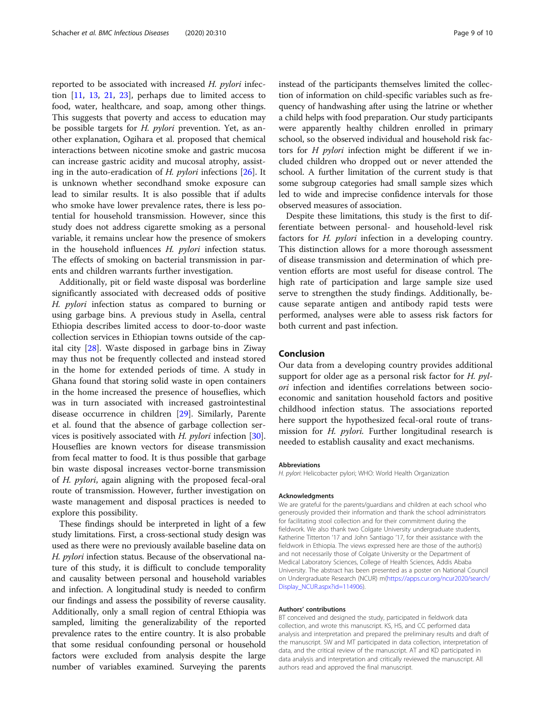reported to be associated with increased H. pylori infection  $[11, 13, 21, 23]$  $[11, 13, 21, 23]$  $[11, 13, 21, 23]$  $[11, 13, 21, 23]$  $[11, 13, 21, 23]$  $[11, 13, 21, 23]$  $[11, 13, 21, 23]$  $[11, 13, 21, 23]$  $[11, 13, 21, 23]$ , perhaps due to limited access to food, water, healthcare, and soap, among other things. This suggests that poverty and access to education may be possible targets for H. pylori prevention. Yet, as another explanation, Ogihara et al. proposed that chemical interactions between nicotine smoke and gastric mucosa can increase gastric acidity and mucosal atrophy, assisting in the auto-eradication of *H. pylori* infections  $[26]$  $[26]$ . It is unknown whether secondhand smoke exposure can lead to similar results. It is also possible that if adults who smoke have lower prevalence rates, there is less potential for household transmission. However, since this study does not address cigarette smoking as a personal variable, it remains unclear how the presence of smokers in the household influences H. pylori infection status. The effects of smoking on bacterial transmission in parents and children warrants further investigation.

Additionally, pit or field waste disposal was borderline significantly associated with decreased odds of positive H. pylori infection status as compared to burning or using garbage bins. A previous study in Asella, central Ethiopia describes limited access to door-to-door waste collection services in Ethiopian towns outside of the capital city [[28\]](#page-9-0). Waste disposed in garbage bins in Ziway may thus not be frequently collected and instead stored in the home for extended periods of time. A study in Ghana found that storing solid waste in open containers in the home increased the presence of houseflies, which was in turn associated with increased gastrointestinal disease occurrence in children [[29\]](#page-9-0). Similarly, Parente et al. found that the absence of garbage collection services is positively associated with H. *pylori* infection  $[30]$  $[30]$ . Houseflies are known vectors for disease transmission from fecal matter to food. It is thus possible that garbage bin waste disposal increases vector-borne transmission of H. pylori, again aligning with the proposed fecal-oral route of transmission. However, further investigation on waste management and disposal practices is needed to explore this possibility.

These findings should be interpreted in light of a few study limitations. First, a cross-sectional study design was used as there were no previously available baseline data on H. pylori infection status. Because of the observational nature of this study, it is difficult to conclude temporality and causality between personal and household variables and infection. A longitudinal study is needed to confirm our findings and assess the possibility of reverse causality. Additionally, only a small region of central Ethiopia was sampled, limiting the generalizability of the reported prevalence rates to the entire country. It is also probable that some residual confounding personal or household factors were excluded from analysis despite the large number of variables examined. Surveying the parents instead of the participants themselves limited the collection of information on child-specific variables such as frequency of handwashing after using the latrine or whether a child helps with food preparation. Our study participants were apparently healthy children enrolled in primary school, so the observed individual and household risk factors for H pylori infection might be different if we included children who dropped out or never attended the school. A further limitation of the current study is that some subgroup categories had small sample sizes which led to wide and imprecise confidence intervals for those observed measures of association.

Despite these limitations, this study is the first to differentiate between personal- and household-level risk factors for *H. pylori* infection in a developing country. This distinction allows for a more thorough assessment of disease transmission and determination of which prevention efforts are most useful for disease control. The high rate of participation and large sample size used serve to strengthen the study findings. Additionally, because separate antigen and antibody rapid tests were performed, analyses were able to assess risk factors for both current and past infection.

# Conclusion

Our data from a developing country provides additional support for older age as a personal risk factor for  $H.$  pylori infection and identifies correlations between socioeconomic and sanitation household factors and positive childhood infection status. The associations reported here support the hypothesized fecal-oral route of transmission for *H. pylori*. Further longitudinal research is needed to establish causality and exact mechanisms.

#### Abbreviations

H. pylori: Helicobacter pylori; WHO: World Health Organization

#### Acknowledgments

We are grateful for the parents/guardians and children at each school who generously provided their information and thank the school administrators for facilitating stool collection and for their commitment during the fieldwork. We also thank two Colgate University undergraduate students, Katherine Titterton '17 and John Santiago '17, for their assistance with the fieldwork in Ethiopia. The views expressed here are those of the author(s) and not necessarily those of Colgate University or the Department of Medical Laboratory Sciences, College of Health Sciences, Addis Ababa University. The abstract has been presented as a poster on National Council on Undergraduate Research (NCUR) m([https://apps.cur.org/ncur2020/search/](https://apps.cur.org/ncur2020/search/Display_NCUR.aspx?id=114906) [Display\\_NCUR.aspx?id=114906](https://apps.cur.org/ncur2020/search/Display_NCUR.aspx?id=114906)).

#### Authors' contributions

BT conceived and designed the study, participated in fieldwork data collection, and wrote this manuscript. KS, HS, and CC performed data analysis and interpretation and prepared the preliminary results and draft of the manuscript. SW and MT participated in data collection, interpretation of data, and the critical review of the manuscript. AT and KD participated in data analysis and interpretation and critically reviewed the manuscript. All authors read and approved the final manuscript.